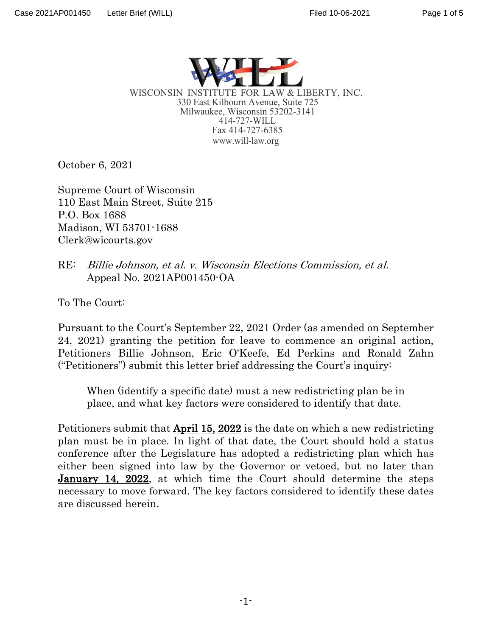

WISCONSIN INSTITUTE FOR LAW & LIBERTY, INC. 330 East Kilbourn Avenue, Suite 725 Milwaukee, Wisconsin 53202-3141 414-727-WILL Fax 414-727-6385 [www.will-law.org](http://www.will-law.org/)

October 6, 2021

Supreme Court of Wisconsin 110 East Main Street, Suite 215 P.O. Box 1688 Madison, WI 53701-1688 Clerk@wicourts.gov

RE: Billie Johnson, et al. v. Wisconsin Elections Commission, et al. Appeal No. 2021AP001450-OA

To The Court:

Pursuant to the Court's September 22, 2021 Order (as amended on September 24, 2021) granting the petition for leave to commence an original action, Petitioners Billie Johnson, Eric O'Keefe, Ed Perkins and Ronald Zahn ("Petitioners") submit this letter brief addressing the Court's inquiry:

When (identify a specific date) must a new redistricting plan be in place, and what key factors were considered to identify that date.

Petitioners submit that April 15, 2022 is the date on which a new redistricting plan must be in place. In light of that date, the Court should hold a status conference after the Legislature has adopted a redistricting plan which has either been signed into law by the Governor or vetoed, but no later than January 14, 2022, at which time the Court should determine the steps necessary to move forward. The key factors considered to identify these dates are discussed herein.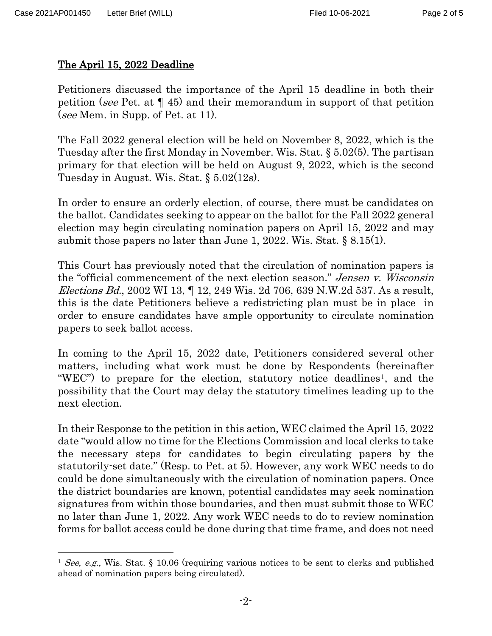## The April 15, 2022 Deadline

Petitioners discussed the importance of the April 15 deadline in both their petition (see Pet. at ¶ 45) and their memorandum in support of that petition (see Mem. in Supp. of Pet. at 11).

The Fall 2022 general election will be held on November 8, 2022, which is the Tuesday after the first Monday in November. Wis. Stat. § 5.02(5). The partisan primary for that election will be held on August 9, 2022, which is the second Tuesday in August. Wis. Stat. § 5.02(12s).

In order to ensure an orderly election, of course, there must be candidates on the ballot. Candidates seeking to appear on the ballot for the Fall 2022 general election may begin circulating nomination papers on April 15, 2022 and may submit those papers no later than June 1, 2022. Wis. Stat. § 8.15(1).

This Court has previously noted that the circulation of nomination papers is the "official commencement of the next election season." Jensen v. Wisconsin Elections Bd., 2002 WI 13, ¶ 12, 249 Wis. 2d 706, 639 N.W.2d 537. As a result, this is the date Petitioners believe a redistricting plan must be in place in order to ensure candidates have ample opportunity to circulate nomination papers to seek ballot access.

In coming to the April 15, 2022 date, Petitioners considered several other matters, including what work must be done by Respondents (hereinafter "WEC") to prepare for the election, statutory notice deadlines<sup>1</sup>, and the possibility that the Court may delay the statutory timelines leading up to the next election.

In their Response to the petition in this action, WEC claimed the April 15, 2022 date "would allow no time for the Elections Commission and local clerks to take the necessary steps for candidates to begin circulating papers by the statutorily-set date." (Resp. to Pet. at 5). However, any work WEC needs to do could be done simultaneously with the circulation of nomination papers. Once the district boundaries are known, potential candidates may seek nomination signatures from within those boundaries, and then must submit those to WEC no later than June 1, 2022. Any work WEC needs to do to review nomination forms for ballot access could be done during that time frame, and does not need

<span id="page-1-0"></span><sup>&</sup>lt;sup>1</sup> See, e.g., Wis. Stat. § 10.06 (requiring various notices to be sent to clerks and published ahead of nomination papers being circulated).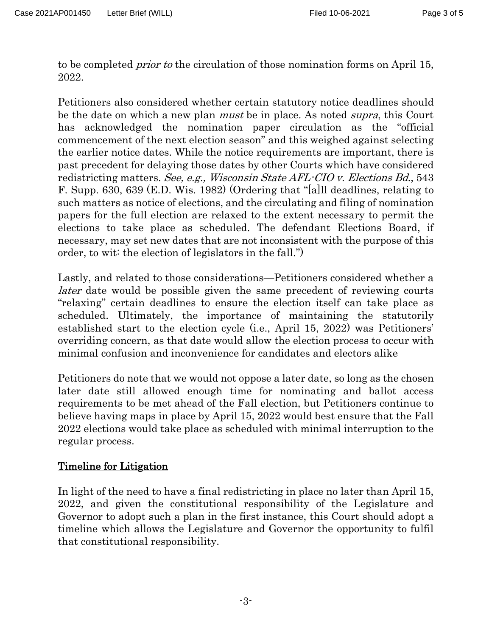to be completed prior to the circulation of those nomination forms on April 15, 2022.

Petitioners also considered whether certain statutory notice deadlines should be the date on which a new plan *must* be in place. As noted *supra*, this Court has acknowledged the nomination paper circulation as the "official commencement of the next election season" and this weighed against selecting the earlier notice dates. While the notice requirements are important, there is past precedent for delaying those dates by other Courts which have considered redistricting matters. See, e.g., Wisconsin State AFL-CIO v. Elections Bd., 543 F. Supp. 630, 639 (E.D. Wis. 1982) (Ordering that "[a]ll deadlines, relating to such matters as notice of elections, and the circulating and filing of nomination papers for the full election are relaxed to the extent necessary to permit the elections to take place as scheduled. The defendant Elections Board, if necessary, may set new dates that are not inconsistent with the purpose of this order, to wit: the election of legislators in the fall.")

Lastly, and related to those considerations—Petitioners considered whether a later date would be possible given the same precedent of reviewing courts "relaxing" certain deadlines to ensure the election itself can take place as scheduled. Ultimately, the importance of maintaining the statutorily established start to the election cycle (i.e., April 15, 2022) was Petitioners' overriding concern, as that date would allow the election process to occur with minimal confusion and inconvenience for candidates and electors alike

Petitioners do note that we would not oppose a later date, so long as the chosen later date still allowed enough time for nominating and ballot access requirements to be met ahead of the Fall election, but Petitioners continue to believe having maps in place by April 15, 2022 would best ensure that the Fall 2022 elections would take place as scheduled with minimal interruption to the regular process.

## Timeline for Litigation

In light of the need to have a final redistricting in place no later than April 15, 2022, and given the constitutional responsibility of the Legislature and Governor to adopt such a plan in the first instance, this Court should adopt a timeline which allows the Legislature and Governor the opportunity to fulfil that constitutional responsibility.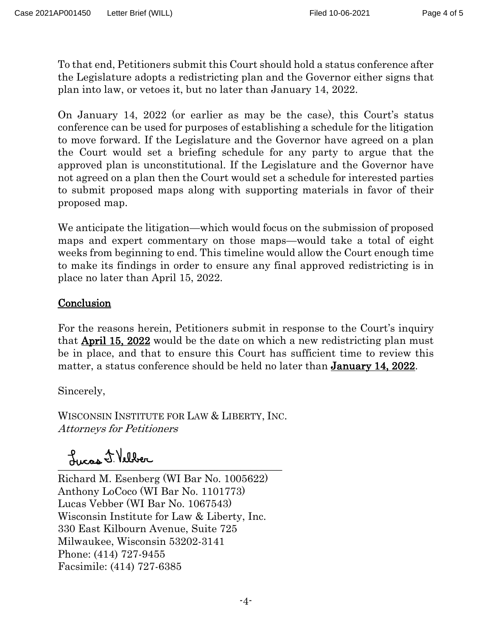To that end, Petitioners submit this Court should hold a status conference after the Legislature adopts a redistricting plan and the Governor either signs that plan into law, or vetoes it, but no later than January 14, 2022.

On January 14, 2022 (or earlier as may be the case), this Court's status conference can be used for purposes of establishing a schedule for the litigation to move forward. If the Legislature and the Governor have agreed on a plan the Court would set a briefing schedule for any party to argue that the approved plan is unconstitutional. If the Legislature and the Governor have not agreed on a plan then the Court would set a schedule for interested parties to submit proposed maps along with supporting materials in favor of their proposed map.

We anticipate the litigation—which would focus on the submission of proposed maps and expert commentary on those maps—would take a total of eight weeks from beginning to end. This timeline would allow the Court enough time to make its findings in order to ensure any final approved redistricting is in place no later than April 15, 2022.

## **Conclusion**

For the reasons herein, Petitioners submit in response to the Court's inquiry that April 15, 2022 would be the date on which a new redistricting plan must be in place, and that to ensure this Court has sufficient time to review this matter, a status conference should be held no later than January 14, 2022.

Sincerely,

WISCONSIN INSTITUTE FOR LAW & LIBERTY, INC. Attorneys for Petitioners

\_\_\_\_\_\_\_\_\_\_\_\_\_\_\_\_\_\_\_\_\_\_\_\_\_\_\_\_\_\_\_\_\_\_\_\_\_\_\_\_\_\_\_

Richard M. Esenberg (WI Bar No. 1005622) Anthony LoCoco (WI Bar No. 1101773) Lucas Vebber (WI Bar No. 1067543) Wisconsin Institute for Law & Liberty, Inc. 330 East Kilbourn Avenue, Suite 725 Milwaukee, Wisconsin 53202-3141 Phone: (414) 727-9455 Facsimile: (414) 727-6385